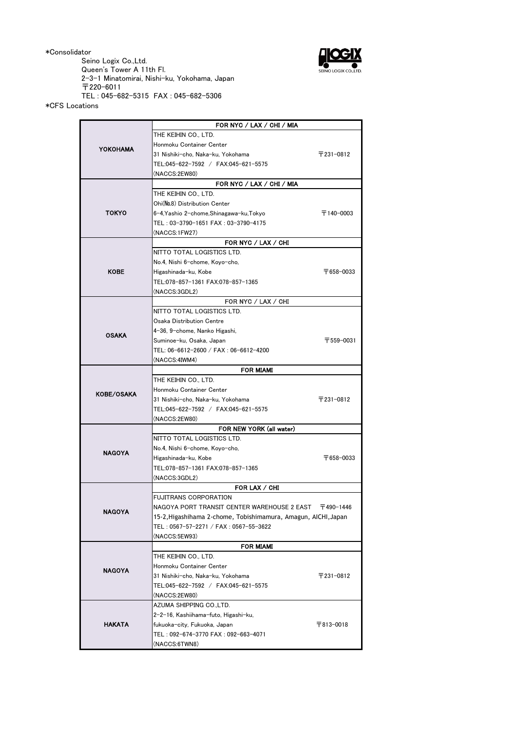\*Consolidator

Seino Logix Co.,Ltd. Queen's Tower A 11th Fl. 2-3-1 Minatomirai, Nishi-ku, Yokohama, Japan 〒220-6011 TEL : 045-682-5315 FAX : 045-682-5306



\*CFS Locations

|                   | FOR NYC / LAX / CHI / MIA                                      |                         |
|-------------------|----------------------------------------------------------------|-------------------------|
| <b>YOKOHAMA</b>   | THE KEIHIN CO., LTD.                                           |                         |
|                   | Honmoku Container Center                                       |                         |
|                   | 31 Nishiki-cho, Naka-ku, Yokohama                              | 〒231-0812               |
|                   | TEL:045-622-7592 / FAX:045-621-5575                            |                         |
|                   | (NACCS:2EW80)                                                  |                         |
|                   | FOR NYC / LAX / CHI / MIA                                      |                         |
| <b>TOKYO</b>      | THE KEIHIN CO LTD.                                             |                         |
|                   | Ohi(No.8) Distribution Center                                  |                         |
|                   | 6-4, Yashio 2-chome, Shinagawa-ku, Tokyo                       | $\overline{7}$ 140-0003 |
|                   | TEL: 03-3790-1651 FAX: 03-3790-4175                            |                         |
|                   | (NACCS:1FW27)                                                  |                         |
|                   | FOR NYC / LAX / CHI                                            |                         |
| <b>KOBE</b>       | NITTO TOTAL LOGISTICS LTD.                                     |                         |
|                   | No.4, Nishi 6-chome, Koyo-cho,                                 |                         |
|                   | Higashinada-ku, Kobe                                           | 〒658-0033               |
|                   | TEL:078-857-1361 FAX:078-857-1365                              |                         |
|                   | (NACCS:3GDL2)                                                  |                         |
|                   | FOR NYC / LAX / CHI                                            |                         |
| <b>OSAKA</b>      | NITTO TOTAL LOGISTICS LTD.                                     |                         |
|                   | Osaka Distribution Centre                                      |                         |
|                   | 4-36, 9-chome, Nanko Higashi,                                  |                         |
|                   | Suminoe-ku, Osaka, Japan                                       | 〒559-0031               |
|                   | TEL: 06-6612-2600 / FAX: 06-6612-4200                          |                         |
|                   | (NACCS:4IWM4)                                                  |                         |
|                   | <b>FOR MIAMI</b>                                               |                         |
| <b>KOBE/OSAKA</b> | THE KEIHIN CO., LTD.                                           |                         |
|                   | Honmoku Container Center                                       |                         |
|                   | 31 Nishiki-cho, Naka-ku, Yokohama                              | 〒231-0812               |
|                   | TEL:045-622-7592 / FAX:045-621-5575                            |                         |
|                   | (NACCS:2EW80)                                                  |                         |
| NAGOYA            | FOR NEW YORK (all water)                                       |                         |
|                   | NITTO TOTAL LOGISTICS LTD.                                     |                         |
|                   | No.4, Nishi 6-chome, Koyo-cho,                                 |                         |
|                   | Higashinada-ku, Kobe                                           | 〒658-0033               |
|                   | TEL:078-857-1361 FAX:078-857-1365                              |                         |
|                   | (NACCS:3GDL2)                                                  |                         |
|                   | FOR LAX / CHI                                                  |                         |
| <b>NAGOYA</b>     | <b>FUJITRANS CORPORATION</b>                                   |                         |
|                   | NAGOYA PORT TRANSIT CENTER WAREHOUSE 2 EAST                    | 〒490-1446               |
|                   | 15-2, Higashihama 2-chome, Tobishimamura, Amagun, AICHI, Japan |                         |
|                   | TEL: 0567-57-2271 / FAX: 0567-55-3622                          |                         |
|                   | (NACCS:5EW93)                                                  |                         |
|                   | <b>FOR MIAMI</b>                                               |                         |
|                   | THE KEIHIN CO., LTD.                                           |                         |
|                   | Honmoku Container Center                                       |                         |
| <b>NAGOYA</b>     | 31 Nishiki-cho, Naka-ku, Yokohama                              | 〒231-0812               |
|                   | TEL:045-622-7592 / FAX:045-621-5575                            |                         |
|                   | (NACCS:2EW80)                                                  |                         |
|                   | AZUMA SHIPPING CO.,LTD.                                        |                         |
|                   | 2-2-16, Kashiihama-futo, Higashi-ku,                           |                         |
| <b>HAKATA</b>     | fukuoka-city, Fukuoka, Japan                                   | 〒813-0018               |
|                   | TEL: 092-674-3770 FAX: 092-663-4071                            |                         |
|                   |                                                                |                         |